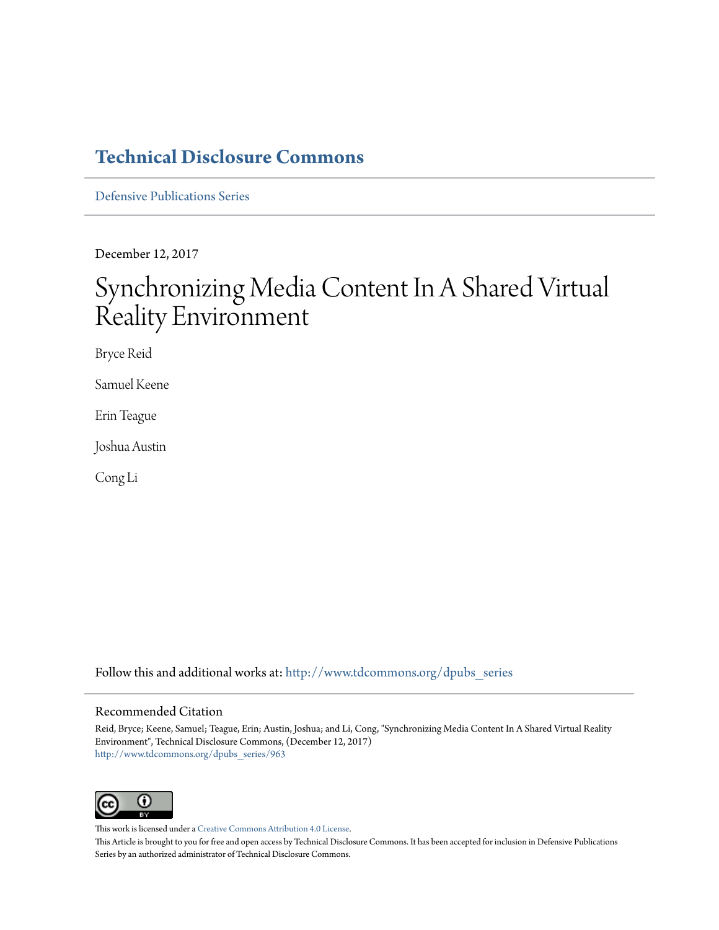# **[Technical Disclosure Commons](http://www.tdcommons.org?utm_source=www.tdcommons.org%2Fdpubs_series%2F963&utm_medium=PDF&utm_campaign=PDFCoverPages)**

[Defensive Publications Series](http://www.tdcommons.org/dpubs_series?utm_source=www.tdcommons.org%2Fdpubs_series%2F963&utm_medium=PDF&utm_campaign=PDFCoverPages)

December 12, 2017

# Synchronizing Media Content In A Shared Virtual Reality Environment

Bryce Reid

Samuel Keene

Erin Teague

Joshua Austin

Cong Li

Follow this and additional works at: [http://www.tdcommons.org/dpubs\\_series](http://www.tdcommons.org/dpubs_series?utm_source=www.tdcommons.org%2Fdpubs_series%2F963&utm_medium=PDF&utm_campaign=PDFCoverPages)

## Recommended Citation

Reid, Bryce; Keene, Samuel; Teague, Erin; Austin, Joshua; and Li, Cong, "Synchronizing Media Content In A Shared Virtual Reality Environment", Technical Disclosure Commons, (December 12, 2017) [http://www.tdcommons.org/dpubs\\_series/963](http://www.tdcommons.org/dpubs_series/963?utm_source=www.tdcommons.org%2Fdpubs_series%2F963&utm_medium=PDF&utm_campaign=PDFCoverPages)



This work is licensed under a [Creative Commons Attribution 4.0 License.](http://creativecommons.org/licenses/by/4.0/deed.en_US)

This Article is brought to you for free and open access by Technical Disclosure Commons. It has been accepted for inclusion in Defensive Publications Series by an authorized administrator of Technical Disclosure Commons.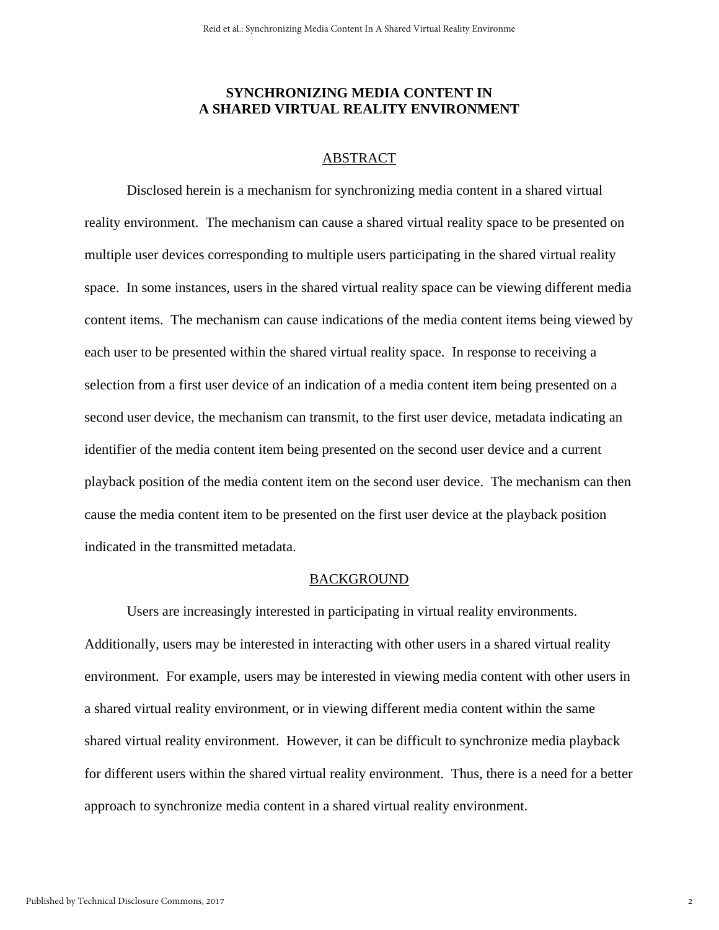# **SYNCHRONIZING MEDIA CONTENT IN A SHARED VIRTUAL REALITY ENVIRONMENT**

# ABSTRACT

Disclosed herein is a mechanism for synchronizing media content in a shared virtual reality environment. The mechanism can cause a shared virtual reality space to be presented on multiple user devices corresponding to multiple users participating in the shared virtual reality space. In some instances, users in the shared virtual reality space can be viewing different media content items. The mechanism can cause indications of the media content items being viewed by each user to be presented within the shared virtual reality space. In response to receiving a selection from a first user device of an indication of a media content item being presented on a second user device, the mechanism can transmit, to the first user device, metadata indicating an identifier of the media content item being presented on the second user device and a current playback position of the media content item on the second user device. The mechanism can then cause the media content item to be presented on the first user device at the playback position indicated in the transmitted metadata.

### BACKGROUND

 Users are increasingly interested in participating in virtual reality environments. Additionally, users may be interested in interacting with other users in a shared virtual reality environment. For example, users may be interested in viewing media content with other users in a shared virtual reality environment, or in viewing different media content within the same shared virtual reality environment. However, it can be difficult to synchronize media playback for different users within the shared virtual reality environment. Thus, there is a need for a better approach to synchronize media content in a shared virtual reality environment.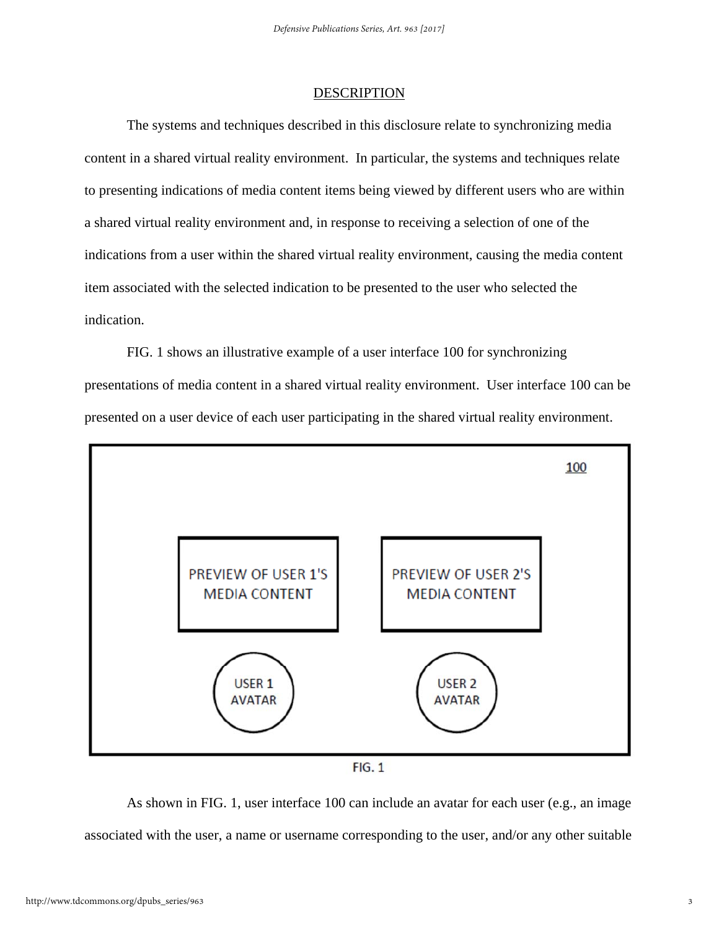### **DESCRIPTION**

 The systems and techniques described in this disclosure relate to synchronizing media content in a shared virtual reality environment. In particular, the systems and techniques relate to presenting indications of media content items being viewed by different users who are within a shared virtual reality environment and, in response to receiving a selection of one of the indications from a user within the shared virtual reality environment, causing the media content item associated with the selected indication to be presented to the user who selected the indication.

 FIG. 1 shows an illustrative example of a user interface 100 for synchronizing presentations of media content in a shared virtual reality environment. User interface 100 can be presented on a user device of each user participating in the shared virtual reality environment.



 $FIG. 1$ 

 As shown in FIG. 1, user interface 100 can include an avatar for each user (e.g., an image associated with the user, a name or username corresponding to the user, and/or any other suitable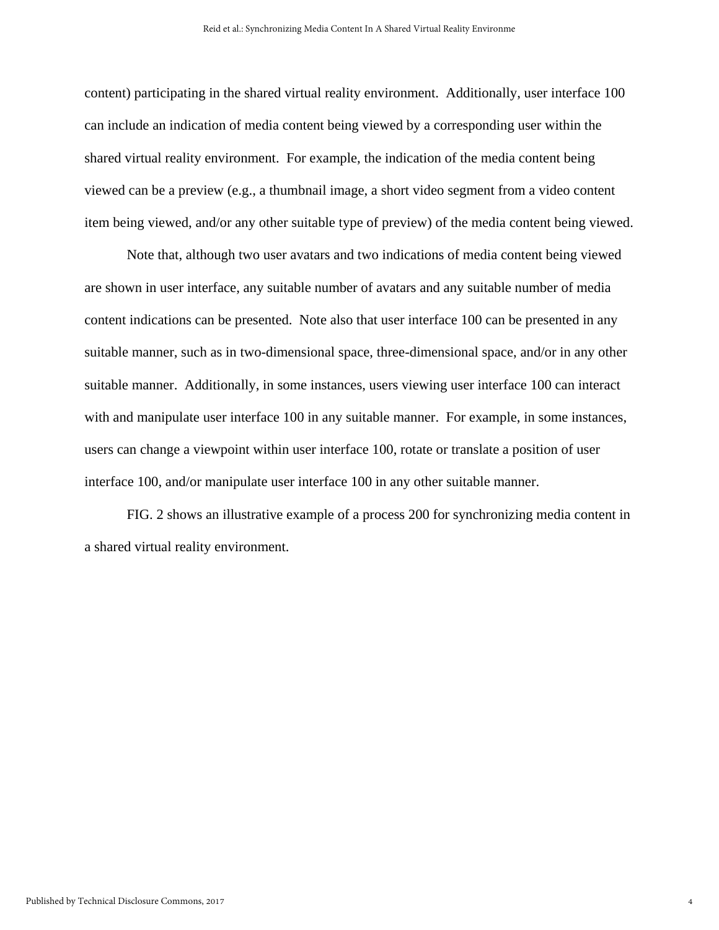content) participating in the shared virtual reality environment. Additionally, user interface 100 can include an indication of media content being viewed by a corresponding user within the shared virtual reality environment. For example, the indication of the media content being viewed can be a preview (e.g., a thumbnail image, a short video segment from a video content item being viewed, and/or any other suitable type of preview) of the media content being viewed.

 Note that, although two user avatars and two indications of media content being viewed are shown in user interface, any suitable number of avatars and any suitable number of media content indications can be presented. Note also that user interface 100 can be presented in any suitable manner, such as in two-dimensional space, three-dimensional space, and/or in any other suitable manner. Additionally, in some instances, users viewing user interface 100 can interact with and manipulate user interface 100 in any suitable manner. For example, in some instances, users can change a viewpoint within user interface 100, rotate or translate a position of user interface 100, and/or manipulate user interface 100 in any other suitable manner.

 FIG. 2 shows an illustrative example of a process 200 for synchronizing media content in a shared virtual reality environment.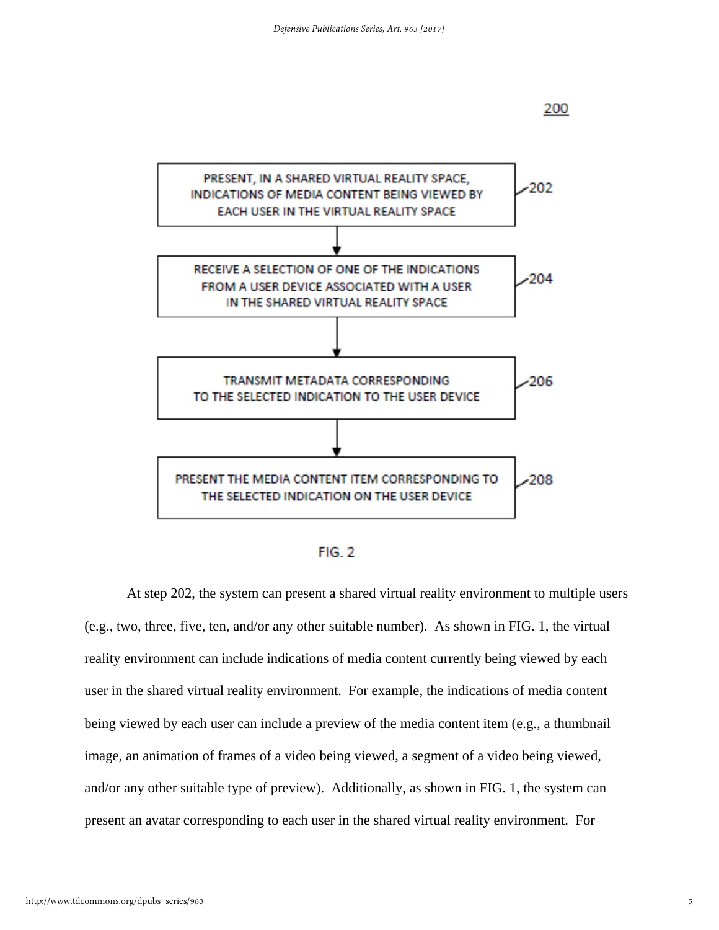

 $FIG. 2$ 

 At step 202, the system can present a shared virtual reality environment to multiple users (e.g., two, three, five, ten, and/or any other suitable number). As shown in FIG. 1, the virtual reality environment can include indications of media content currently being viewed by each user in the shared virtual reality environment. For example, the indications of media content being viewed by each user can include a preview of the media content item (e.g., a thumbnail image, an animation of frames of a video being viewed, a segment of a video being viewed, and/or any other suitable type of preview). Additionally, as shown in FIG. 1, the system can present an avatar corresponding to each user in the shared virtual reality environment. For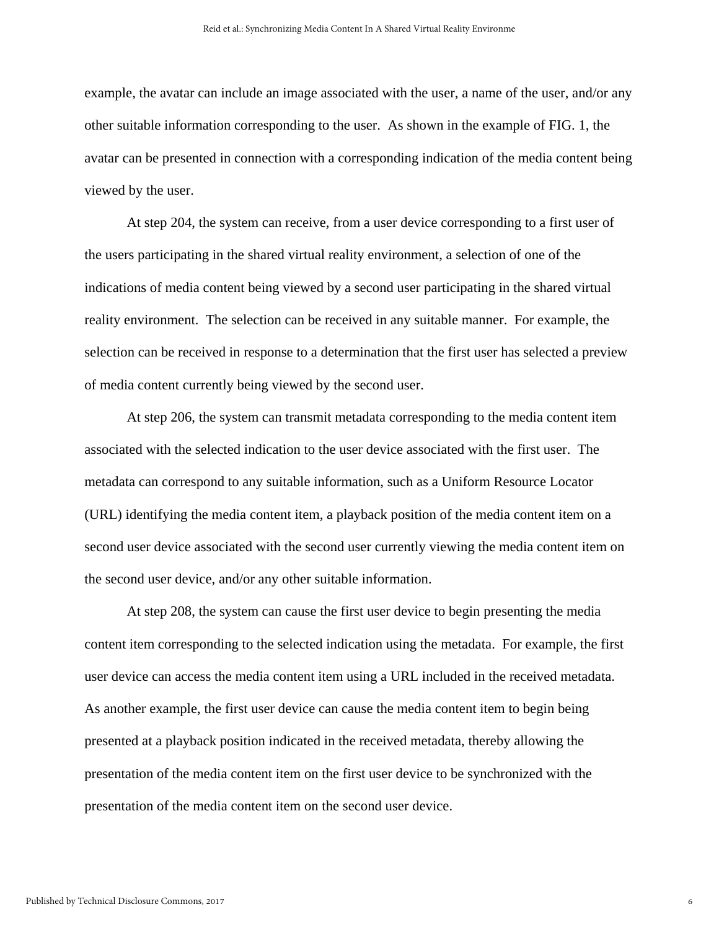example, the avatar can include an image associated with the user, a name of the user, and/or any other suitable information corresponding to the user. As shown in the example of FIG. 1, the avatar can be presented in connection with a corresponding indication of the media content being viewed by the user.

 At step 204, the system can receive, from a user device corresponding to a first user of the users participating in the shared virtual reality environment, a selection of one of the indications of media content being viewed by a second user participating in the shared virtual reality environment. The selection can be received in any suitable manner. For example, the selection can be received in response to a determination that the first user has selected a preview of media content currently being viewed by the second user.

 At step 206, the system can transmit metadata corresponding to the media content item associated with the selected indication to the user device associated with the first user. The metadata can correspond to any suitable information, such as a Uniform Resource Locator (URL) identifying the media content item, a playback position of the media content item on a second user device associated with the second user currently viewing the media content item on the second user device, and/or any other suitable information.

 At step 208, the system can cause the first user device to begin presenting the media content item corresponding to the selected indication using the metadata. For example, the first user device can access the media content item using a URL included in the received metadata. As another example, the first user device can cause the media content item to begin being presented at a playback position indicated in the received metadata, thereby allowing the presentation of the media content item on the first user device to be synchronized with the presentation of the media content item on the second user device.

6